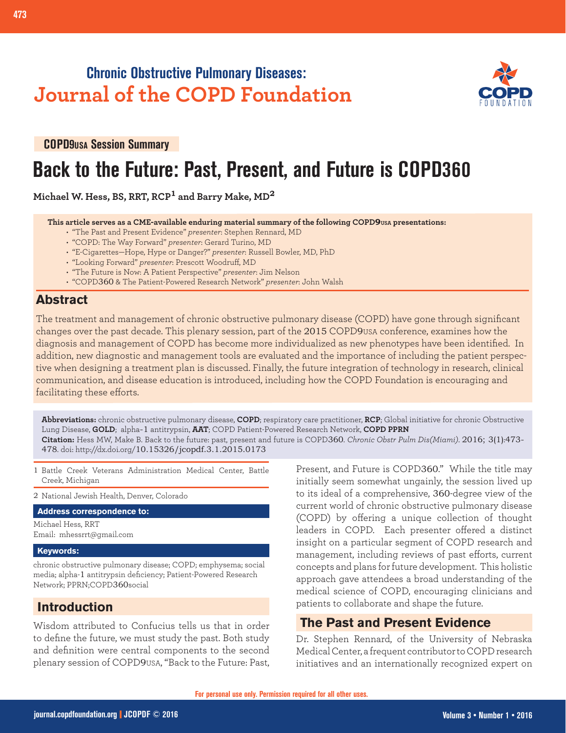## **Chronic Obstructive Pulmonary Diseases: Journal of the COPD Foundation**



**COPD9USA Session Summary**

# **Back to the Future: Past, Present, and Future is COPD360**

**Michael W. Hess, BS, RRT, RCP1 and Barry Make, MD<sup>2</sup>**

 **This article serves as a CME-available enduring material summary of the following COPD9USA presentations:**

- "The Past and Present Evidence" *presenter*: Stephen Rennard, MD
- "COPD: The Way Forward" *presenter*: Gerard Turino, MD
- "E-Cigarettes—Hope, Hype or Danger?" *presenter*: Russell Bowler, MD, PhD
- "Looking Forward" *presenter*: Prescott Woodruff, MD
- "The Future is Now: A Patient Perspective" *presenter*: Jim Nelson
- "COPD360 & The Patient-Powered Research Network" *presenter*: John Walsh

#### **Abstract**

The treatment and management of chronic obstructive pulmonary disease (COPD) have gone through significant changes over the past decade. This plenary session, part of the 2015 COPD9USA conference, examines how the diagnosis and management of COPD has become more individualized as new phenotypes have been identified. In addition, new diagnostic and management tools are evaluated and the importance of including the patient perspective when designing a treatment plan is discussed. Finally, the future integration of technology in research, clinical communication, and disease education is introduced, including how the COPD Foundation is encouraging and facilitating these efforts.

**Abbreviations:** chronic obstructive pulmonary disease, **COPD**; respiratory care practitioner, **RCP**; Global initiative for chronic Obstructive Lung Disease, **GOLD**; alpha-1 antitrypsin, **AAT**; COPD Patient-Powered Research Network, **COPD PPRN Citation:** Hess MW, Make B. Back to the future: past, present and future is COPD360. *Chronic Obstr Pulm Dis(Miami)*. 2016; 3(1):473- 478. doi: http://dx.doi.org/10.15326/jcopdf.3.1.2015.0173

1 Battle Creek Veterans Administration Medical Center, Battle Creek, Michigan

2 National Jewish Health, Denver, Colorado

**Address correspondence to:**

Michael Hess, RRT Email: mhessrrt@gmail.com

#### **Keywords:**

chronic obstructive pulmonary disease; COPD; emphysema; social media; alpha-1 antitrypsin deficiency; Patient-Powered Research Network; PPRN;COPD360social

#### **Introduction**

Wisdom attributed to Confucius tells us that in order to define the future, we must study the past. Both study and definition were central components to the second plenary session of COPD9USA, "Back to the Future: Past, Present, and Future is COPD360." While the title may initially seem somewhat ungainly, the session lived up to its ideal of a comprehensive, 360-degree view of the current world of chronic obstructive pulmonary disease (COPD) by offering a unique collection of thought leaders in COPD. Each presenter offered a distinct insight on a particular segment of COPD research and management, including reviews of past efforts, current concepts and plans for future development. This holistic approach gave attendees a broad understanding of the medical science of COPD, encouraging clinicians and patients to collaborate and shape the future.

#### **The Past and Present Evidence**

Dr. Stephen Rennard, of the University of Nebraska Medical Center, a frequent contributor to COPD research initiatives and an internationally recognized expert on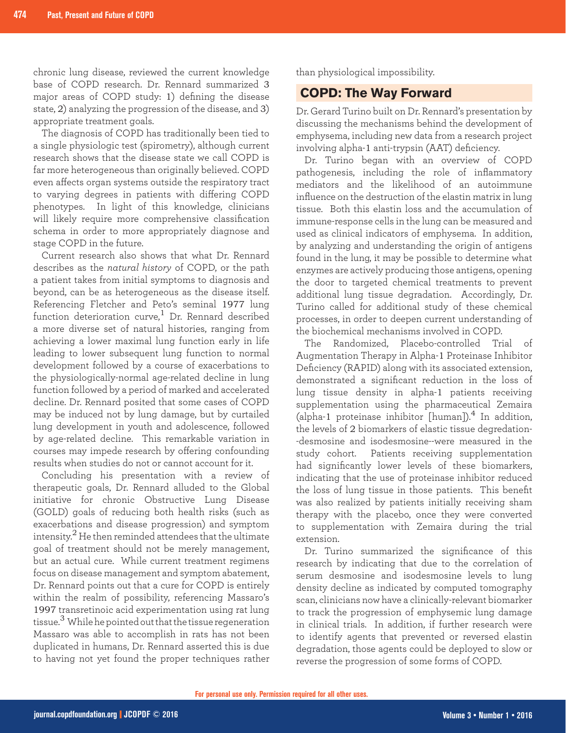chronic lung disease, reviewed the current knowledge base of COPD research. Dr. Rennard summarized 3 major areas of COPD study: 1) defining the disease state, 2) analyzing the progression of the disease, and 3) appropriate treatment goals.

The diagnosis of COPD has traditionally been tied to a single physiologic test (spirometry), although current research shows that the disease state we call COPD is far more heterogeneous than originally believed. COPD even affects organ systems outside the respiratory tract to varying degrees in patients with differing COPD phenotypes. In light of this knowledge, clinicians will likely require more comprehensive classification schema in order to more appropriately diagnose and stage COPD in the future.

Current research also shows that what Dr. Rennard describes as the *natural history* of COPD, or the path a patient takes from initial symptoms to diagnosis and beyond, can be as heterogeneous as the disease itself. Referencing Fletcher and Peto's seminal 1977 lung function deterioration curve, $1$  Dr. Rennard described a more diverse set of natural histories, ranging from achieving a lower maximal lung function early in life leading to lower subsequent lung function to normal development followed by a course of exacerbations to the physiologically-normal age-related decline in lung function followed by a period of marked and accelerated decline. Dr. Rennard posited that some cases of COPD may be induced not by lung damage, but by curtailed lung development in youth and adolescence, followed by age-related decline. This remarkable variation in courses may impede research by offering confounding results when studies do not or cannot account for it.

Concluding his presentation with a review of therapeutic goals, Dr. Rennard alluded to the Global initiative for chronic Obstructive Lung Disease (GOLD) goals of reducing both health risks (such as exacerbations and disease progression) and symptom intensity. $^{2}$  He then reminded attendees that the ultimate goal of treatment should not be merely management, but an actual cure. While current treatment regimens focus on disease management and symptom abatement, Dr. Rennard points out that a cure for COPD is entirely within the realm of possibility, referencing Massaro's 1997 transretinoic acid experimentation using rat lung tissue.<sup>3</sup> While he pointed out that the tissue regeneration Massaro was able to accomplish in rats has not been duplicated in humans, Dr. Rennard asserted this is due to having not yet found the proper techniques rather

than physiological impossibility.

## **COPD: The Way Forward**

Dr. Gerard Turino built on Dr. Rennard's presentation by discussing the mechanisms behind the development of emphysema, including new data from a research project involving alpha-1 anti-trypsin (AAT) deficiency.

Dr. Turino began with an overview of COPD pathogenesis, including the role of inflammatory mediators and the likelihood of an autoimmune influence on the destruction of the elastin matrix in lung tissue. Both this elastin loss and the accumulation of immune-response cells in the lung can be measured and used as clinical indicators of emphysema. In addition, by analyzing and understanding the origin of antigens found in the lung, it may be possible to determine what enzymes are actively producing those antigens, opening the door to targeted chemical treatments to prevent additional lung tissue degradation. Accordingly, Dr. Turino called for additional study of these chemical processes, in order to deepen current understanding of the biochemical mechanisms involved in COPD.

The Randomized, Placebo-controlled Trial of Augmentation Therapy in Alpha-1 Proteinase Inhibitor Deficiency (RAPID) along with its associated extension, demonstrated a significant reduction in the loss of lung tissue density in alpha-1 patients receiving supplementation using the pharmaceutical Zemaira (alpha-1 proteinase inhibitor  $[\text{human}]$ ).<sup>4</sup> In addition, the levels of 2 biomarkers of elastic tissue degredation- -desmosine and isodesmosine--were measured in the study cohort. Patients receiving supplementation had significantly lower levels of these biomarkers, indicating that the use of proteinase inhibitor reduced the loss of lung tissue in those patients. This benefit was also realized by patients initially receiving sham therapy with the placebo, once they were converted to supplementation with Zemaira during the trial extension.

Dr. Turino summarized the significance of this research by indicating that due to the correlation of serum desmosine and isodesmosine levels to lung density decline as indicated by computed tomography scan, clinicians now have a clinically-relevant biomarker to track the progression of emphysemic lung damage in clinical trials. In addition, if further research were to identify agents that prevented or reversed elastin degradation, those agents could be deployed to slow or reverse the progression of some forms of COPD.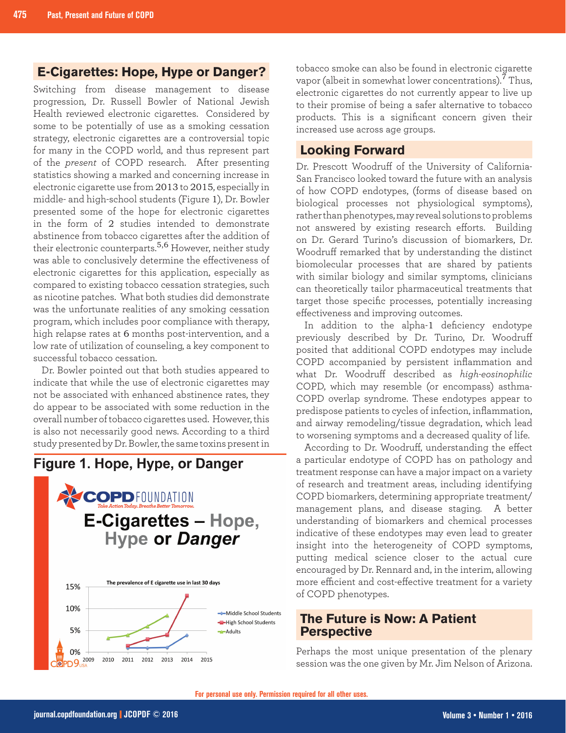### **E-Cigarettes: Hope, Hype or Danger?**

Switching from disease management to disease progression, Dr. Russell Bowler of National Jewish Health reviewed electronic cigarettes. Considered by some to be potentially of use as a smoking cessation strategy, electronic cigarettes are a controversial topic for many in the COPD world, and thus represent part of the *present* of COPD research. After presenting statistics showing a marked and concerning increase in electronic cigarette use from 2013 to 2015, especially in middle- and high-school students (Figure 1), Dr. Bowler presented some of the hope for electronic cigarettes in the form of 2 studies intended to demonstrate abstinence from tobacco cigarettes after the addition of their electronic counterparts.5,6 However, neither study was able to conclusively determine the effectiveness of electronic cigarettes for this application, especially as compared to existing tobacco cessation strategies, such as nicotine patches. What both studies did demonstrate was the unfortunate realities of any smoking cessation program, which includes poor compliance with therapy, high relapse rates at 6 months post-intervention, and a low rate of utilization of counseling, a key component to successful tobacco cessation.

Dr. Bowler pointed out that both studies appeared to indicate that while the use of electronic cigarettes may not be associated with enhanced abstinence rates, they do appear to be associated with some reduction in the overall number of tobacco cigarettes used. However, this is also not necessarily good news. According to a third study presented by Dr. Bowler, the same toxins present in





tobacco smoke can also be found in electronic cigarette vapor (albeit in somewhat lower concentrations).<sup>7</sup> Thus, electronic cigarettes do not currently appear to live up to their promise of being a safer alternative to tobacco products. This is a significant concern given their increased use across age groups.

#### **Looking Forward**

Dr. Prescott Woodruff of the University of California-San Francisco looked toward the future with an analysis of how COPD endotypes, (forms of disease based on biological processes not physiological symptoms), rather than phenotypes, may reveal solutions to problems not answered by existing research efforts. Building on Dr. Gerard Turino's discussion of biomarkers, Dr. Woodruff remarked that by understanding the distinct biomolecular processes that are shared by patients with similar biology and similar symptoms, clinicians can theoretically tailor pharmaceutical treatments that target those specific processes, potentially increasing effectiveness and improving outcomes.

In addition to the alpha-1 deficiency endotype previously described by Dr. Turino, Dr. Woodruff posited that additional COPD endotypes may include COPD accompanied by persistent inflammation and what Dr. Woodruff described as *high-eosinophilic*  COPD, which may resemble (or encompass) asthma-COPD overlap syndrome. These endotypes appear to predispose patients to cycles of infection, inflammation, and airway remodeling/tissue degradation, which lead to worsening symptoms and a decreased quality of life.

According to Dr. Woodruff, understanding the effect a particular endotype of COPD has on pathology and treatment response can have a major impact on a variety of research and treatment areas, including identifying COPD biomarkers, determining appropriate treatment/ management plans, and disease staging. A better understanding of biomarkers and chemical processes indicative of these endotypes may even lead to greater insight into the heterogeneity of COPD symptoms, putting medical science closer to the actual cure encouraged by Dr. Rennard and, in the interim, allowing more efficient and cost-effective treatment for a variety of COPD phenotypes.

#### **The Future is Now: A Patient Perspective**

Perhaps the most unique presentation of the plenary session was the one given by Mr. Jim Nelson of Arizona.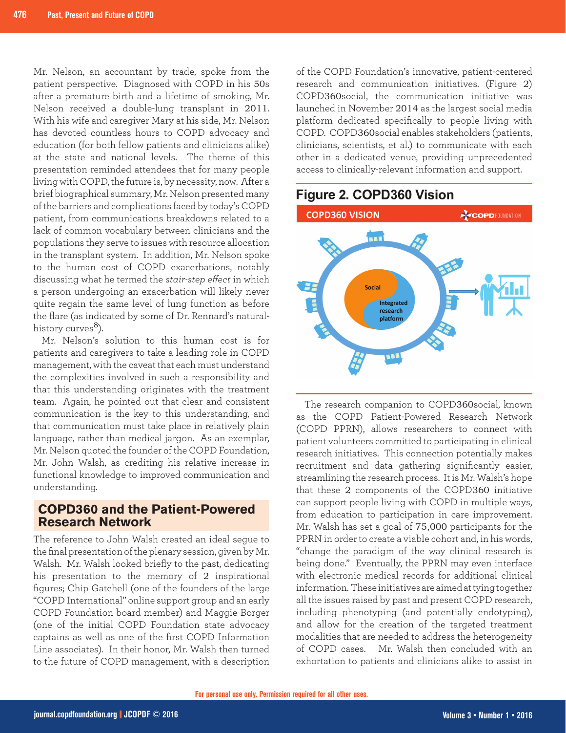Mr. Nelson, an accountant by trade, spoke from the patient perspective. Diagnosed with COPD in his 50s after a premature birth and a lifetime of smoking, Mr. Nelson received a double-lung transplant in 2011. With his wife and caregiver Mary at his side, Mr. Nelson has devoted countless hours to COPD advocacy and education (for both fellow patients and clinicians alike) at the state and national levels. The theme of this presentation reminded attendees that for many people living with COPD, the future is, by necessity, now. After a brief biographical summary, Mr. Nelson presented many of the barriers and complications faced by today's COPD patient, from communications breakdowns related to a lack of common vocabulary between clinicians and the populations they serve to issues with resource allocation in the transplant system. In addition, Mr. Nelson spoke to the human cost of COPD exacerbations, notably discussing what he termed the *stair-step effect* in which a person undergoing an exacerbation will likely never quite regain the same level of lung function as before the flare (as indicated by some of Dr. Rennard's naturalhistory curves $^{8}$ ).

Mr. Nelson's solution to this human cost is for patients and caregivers to take a leading role in COPD management, with the caveat that each must understand the complexities involved in such a responsibility and that this understanding originates with the treatment team. Again, he pointed out that clear and consistent communication is the key to this understanding, and that communication must take place in relatively plain language, rather than medical jargon. As an exemplar, Mr. Nelson quoted the founder of the COPD Foundation, Mr. John Walsh, as crediting his relative increase in functional knowledge to improved communication and understanding.

#### **COPD360 and the Patient-Powered Research Network**

The reference to John Walsh created an ideal segue to the final presentation of the plenary session, given by Mr. Walsh. Mr. Walsh looked briefly to the past, dedicating his presentation to the memory of 2 inspirational figures; Chip Gatchell (one of the founders of the large "COPD International" online support group and an early COPD Foundation board member) and Maggie Borger (one of the initial COPD Foundation state advocacy captains as well as one of the first COPD Information Line associates). In their honor, Mr. Walsh then turned to the future of COPD management, with a description of the COPD Foundation's innovative, patient-centered research and communication initiatives. (Figure 2) COPD360social, the communication initiative was launched in November 2014 as the largest social media platform dedicated specifically to people living with COPD. COPD360social enables stakeholders (patients, clinicians, scientists, et al.) to communicate with each other in a dedicated venue, providing unprecedented access to clinically-relevant information and support.

### Figure 2. COPD360 Vision



The research companion to COPD360social, known as the COPD Patient-Powered Research Network (COPD PPRN), allows researchers to connect with patient volunteers committed to participating in clinical research initiatives. This connection potentially makes recruitment and data gathering significantly easier, streamlining the research process. It is Mr. Walsh's hope that these 2 components of the COPD360 initiative can support people living with COPD in multiple ways, from education to participation in care improvement. Mr. Walsh has set a goal of 75,000 participants for the PPRN in order to create a viable cohort and, in his words, "change the paradigm of the way clinical research is being done." Eventually, the PPRN may even interface with electronic medical records for additional clinical information. These initiatives are aimed at tying together all the issues raised by past and present COPD research, including phenotyping (and potentially endotyping), and allow for the creation of the targeted treatment modalities that are needed to address the heterogeneity of COPD cases. Mr. Walsh then concluded with an exhortation to patients and clinicians alike to assist in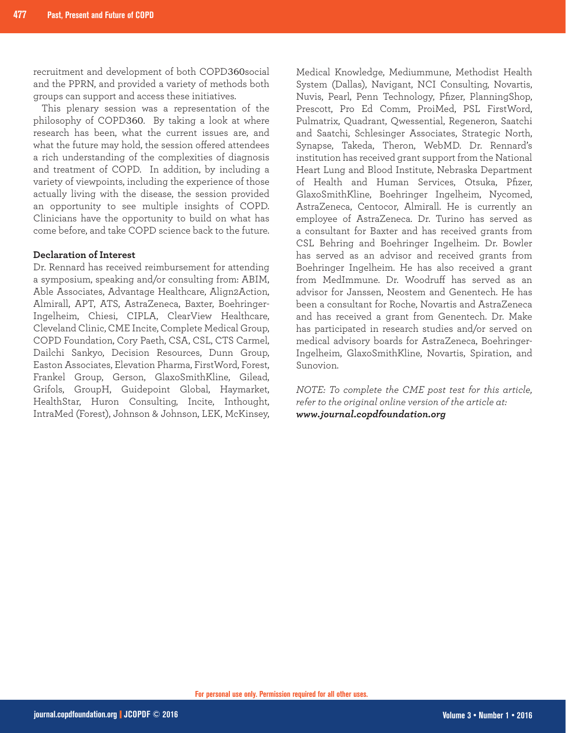recruitment and development of both COPD360social and the PPRN, and provided a variety of methods both groups can support and access these initiatives.

This plenary session was a representation of the philosophy of COPD360. By taking a look at where research has been, what the current issues are, and what the future may hold, the session offered attendees a rich understanding of the complexities of diagnosis and treatment of COPD. In addition, by including a variety of viewpoints, including the experience of those actually living with the disease, the session provided an opportunity to see multiple insights of COPD. Clinicians have the opportunity to build on what has come before, and take COPD science back to the future.

#### **Declaration of Interest**

Dr. Rennard has received reimbursement for attending a symposium, speaking and/or consulting from: ABIM, Able Associates, Advantage Healthcare, Align2Action, Almirall, APT, ATS, AstraZeneca, Baxter, Boehringer-Ingelheim, Chiesi, CIPLA, ClearView Healthcare, Cleveland Clinic, CME Incite, Complete Medical Group, COPD Foundation, Cory Paeth, CSA, CSL, CTS Carmel, Dailchi Sankyo, Decision Resources, Dunn Group, Easton Associates, Elevation Pharma, FirstWord, Forest, Frankel Group, Gerson, GlaxoSmithKline, Gilead, Grifols, GroupH, Guidepoint Global, Haymarket, HealthStar, Huron Consulting, Incite, Inthought, IntraMed (Forest), Johnson & Johnson, LEK, McKinsey, Medical Knowledge, Mediummune, Methodist Health System (Dallas), Navigant, NCI Consulting, Novartis, Nuvis, Pearl, Penn Technology, Pfizer, PlanningShop, Prescott, Pro Ed Comm, ProiMed, PSL FirstWord, Pulmatrix, Quadrant, Qwessential, Regeneron, Saatchi and Saatchi, Schlesinger Associates, Strategic North, Synapse, Takeda, Theron, WebMD. Dr. Rennard's institution has received grant support from the National Heart Lung and Blood Institute, Nebraska Department of Health and Human Services, Otsuka, Pfizer, GlaxoSmithKline, Boehringer Ingelheim, Nycomed, AstraZeneca, Centocor, Almirall. He is currently an employee of AstraZeneca. Dr. Turino has served as a consultant for Baxter and has received grants from CSL Behring and Boehringer Ingelheim. Dr. Bowler has served as an advisor and received grants from Boehringer Ingelheim. He has also received a grant from MedImmune. Dr. Woodruff has served as an advisor for Janssen, Neostem and Genentech. He has been a consultant for Roche, Novartis and AstraZeneca and has received a grant from Genentech. Dr. Make has participated in research studies and/or served on medical advisory boards for AstraZeneca, Boehringer-Ingelheim, GlaxoSmithKline, Novartis, Spiration, and Sunovion.

*NOTE: To complete the CME post test for this article, refer to the original online version of the article at: www.journal.copdfoundation.org*